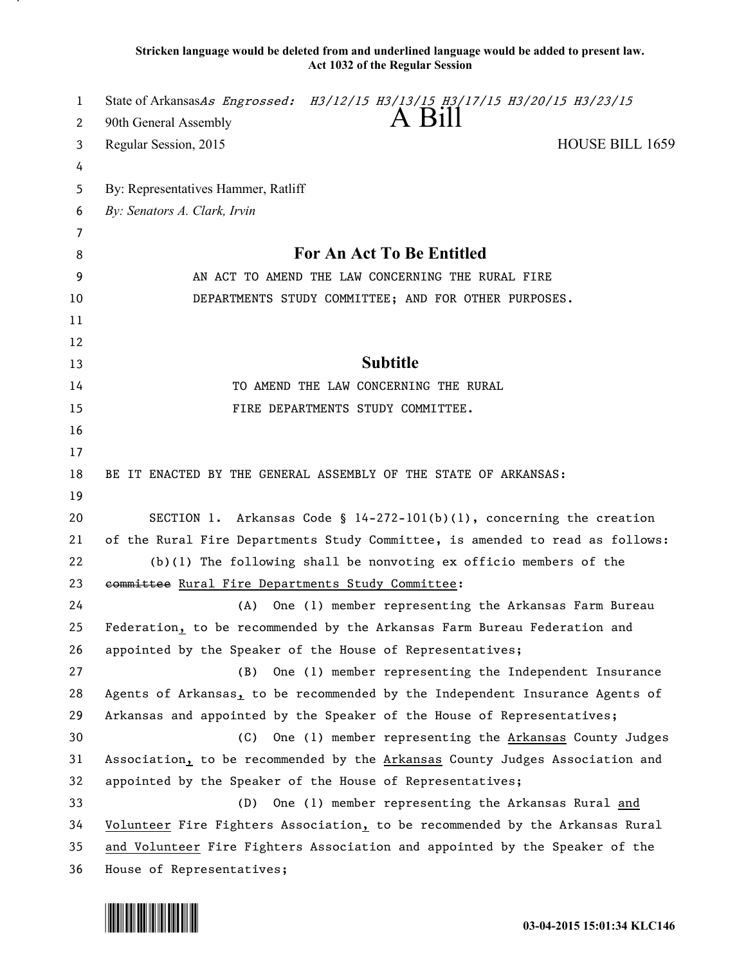**Stricken language would be deleted from and underlined language would be added to present law. Act 1032 of the Regular Session**

| 1  | State of ArkansasAs Engrossed: H3/12/15 H3/13/15 H3/17/15 H3/20/15 H3/23/15   |
|----|-------------------------------------------------------------------------------|
| 2  | A Bill<br>90th General Assembly                                               |
| 3  | HOUSE BILL 1659<br>Regular Session, 2015                                      |
| 4  |                                                                               |
| 5  | By: Representatives Hammer, Ratliff                                           |
| 6  | By: Senators A. Clark, Irvin                                                  |
| 7  |                                                                               |
| 8  | For An Act To Be Entitled                                                     |
| 9  | AN ACT TO AMEND THE LAW CONCERNING THE RURAL FIRE                             |
| 10 | DEPARTMENTS STUDY COMMITTEE; AND FOR OTHER PURPOSES.                          |
| 11 |                                                                               |
| 12 |                                                                               |
| 13 | <b>Subtitle</b>                                                               |
| 14 | TO AMEND THE LAW CONCERNING THE RURAL                                         |
| 15 | FIRE DEPARTMENTS STUDY COMMITTEE.                                             |
| 16 |                                                                               |
| 17 |                                                                               |
| 18 | BE IT ENACTED BY THE GENERAL ASSEMBLY OF THE STATE OF ARKANSAS:               |
| 19 |                                                                               |
| 20 | SECTION 1. Arkansas Code § $14-272-101(b)(1)$ , concerning the creation       |
| 21 | of the Rural Fire Departments Study Committee, is amended to read as follows: |
| 22 | $(b)(1)$ The following shall be nonvoting ex officio members of the           |
| 23 | committee Rural Fire Departments Study Committee:                             |
| 24 | One (1) member representing the Arkansas Farm Bureau<br>(A)                   |
| 25 | Federation, to be recommended by the Arkansas Farm Bureau Federation and      |
| 26 | appointed by the Speaker of the House of Representatives;                     |
| 27 | One (1) member representing the Independent Insurance<br>(B)                  |
| 28 | Agents of Arkansas, to be recommended by the Independent Insurance Agents of  |
| 29 | Arkansas and appointed by the Speaker of the House of Representatives;        |
| 30 | One (1) member representing the Arkansas County Judges<br>(C)                 |
| 31 | Association, to be recommended by the Arkansas County Judges Association and  |
| 32 | appointed by the Speaker of the House of Representatives;                     |
| 33 | One (1) member representing the Arkansas Rural and<br>(D)                     |
| 34 | Volunteer Fire Fighters Association, to be recommended by the Arkansas Rural  |
| 35 | and Volunteer Fire Fighters Association and appointed by the Speaker of the   |
| 36 | House of Representatives;                                                     |

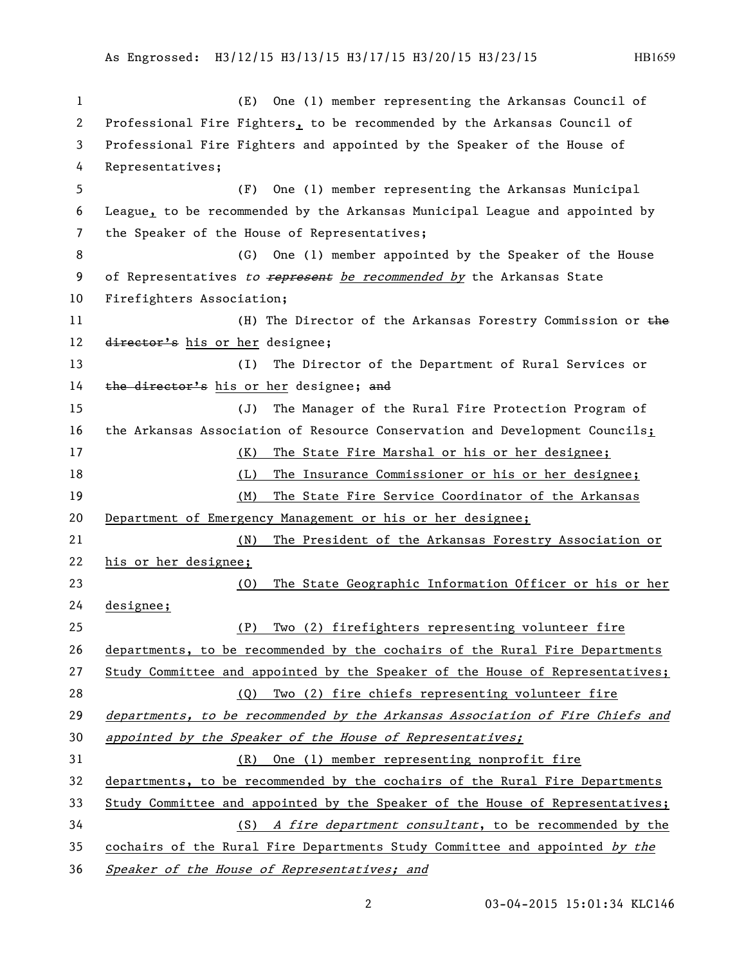## As Engrossed: H3/12/15 H3/13/15 H3/17/15 H3/20/15 H3/23/15 HB1659

 (E) One (1) member representing the Arkansas Council of Professional Fire Fighters, to be recommended by the Arkansas Council of Professional Fire Fighters and appointed by the Speaker of the House of Representatives; (F) One (1) member representing the Arkansas Municipal League, to be recommended by the Arkansas Municipal League and appointed by the Speaker of the House of Representatives; (G) One (1) member appointed by the Speaker of the House 9 of Representatives to represent be recommended by the Arkansas State Firefighters Association; 11 (H) The Director of the Arkansas Forestry Commission or the 12 director's his or her designee; (I) The Director of the Department of Rural Services or 14 the director's his or her designee; and (J) The Manager of the Rural Fire Protection Program of 16 the Arkansas Association of Resource Conservation and Development Councils<sub>i</sub> (K) The State Fire Marshal or his or her designee; (L) The Insurance Commissioner or his or her designee; (M) The State Fire Service Coordinator of the Arkansas Department of Emergency Management or his or her designee; (N) The President of the Arkansas Forestry Association or his or her designee; (O) The State Geographic Information Officer or his or her designee; (P) Two (2) firefighters representing volunteer fire departments, to be recommended by the cochairs of the Rural Fire Departments 27 Study Committee and appointed by the Speaker of the House of Representatives; (Q) Two (2) fire chiefs representing volunteer fire departments, to be recommended by the Arkansas Association of Fire Chiefs and 30 appointed by the Speaker of the House of Representatives; (R) One (1) member representing nonprofit fire departments, to be recommended by the cochairs of the Rural Fire Departments Study Committee and appointed by the Speaker of the House of Representatives; (S) A fire department consultant, to be recommended by the 35 cochairs of the Rural Fire Departments Study Committee and appointed by the Speaker of the House of Representatives; and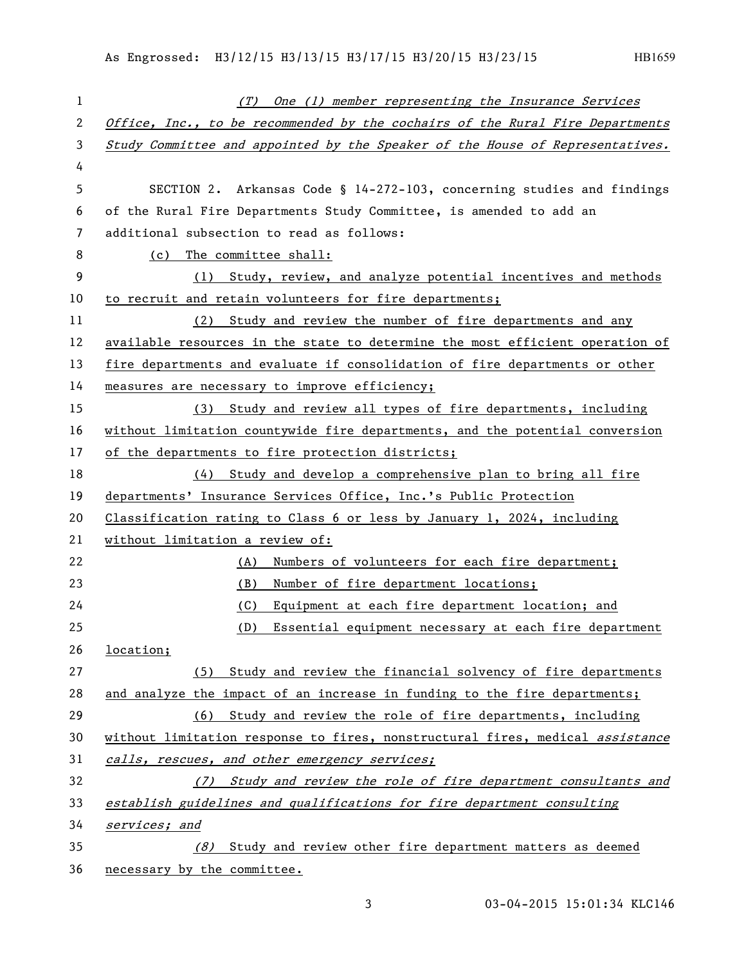| $\mathbf{1}$ | (T) One (1) member representing the Insurance Services                        |
|--------------|-------------------------------------------------------------------------------|
| 2            | Office, Inc., to be recommended by the cochairs of the Rural Fire Departments |
| 3            | Study Committee and appointed by the Speaker of the House of Representatives. |
| 4            |                                                                               |
| 5            | SECTION 2. Arkansas Code § 14-272-103, concerning studies and findings        |
| 6            | of the Rural Fire Departments Study Committee, is amended to add an           |
| 7            | additional subsection to read as follows:                                     |
| 8            | (c) The committee shall:                                                      |
| 9            | (1) Study, review, and analyze potential incentives and methods               |
| 10           | to recruit and retain volunteers for fire departments;                        |
| 11           | (2) Study and review the number of fire departments and any                   |
| 12           | available resources in the state to determine the most efficient operation of |
| 13           | fire departments and evaluate if consolidation of fire departments or other   |
| 14           | measures are necessary to improve efficiency;                                 |
| 15           | (3) Study and review all types of fire departments, including                 |
| 16           | without limitation countywide fire departments, and the potential conversion  |
| 17           | of the departments to fire protection districts;                              |
| 18           | (4) Study and develop a comprehensive plan to bring all fire                  |
| 19           | departments' Insurance Services Office, Inc.'s Public Protection              |
| 20           | Classification rating to Class 6 or less by January 1, 2024, including        |
| 21           | without limitation a review of:                                               |
| 22           | Numbers of volunteers for each fire department;<br>(A)                        |
| 23           | Number of fire department locations;<br>(B)                                   |
| 24           | Equipment at each fire department location; and<br>(C)                        |
| 25           | (D)<br>Essential equipment necessary at each fire department                  |
| 26           | location;                                                                     |
| 27           | (5) Study and review the financial solvency of fire departments               |
| 28           | and analyze the impact of an increase in funding to the fire departments;     |
| 29           | (6) Study and review the role of fire departments, including                  |
| 30           | without limitation response to fires, nonstructural fires, medical assistance |
| 31           | calls, rescues, and other emergency services;                                 |
| 32           | (7) Study and review the role of fire department consultants and              |
| 33           | establish guidelines and qualifications for fire department consulting        |
| 34           | services; and                                                                 |
| 35           | Study and review other fire department matters as deemed<br>(8)               |
| 36           | necessary by the committee.                                                   |